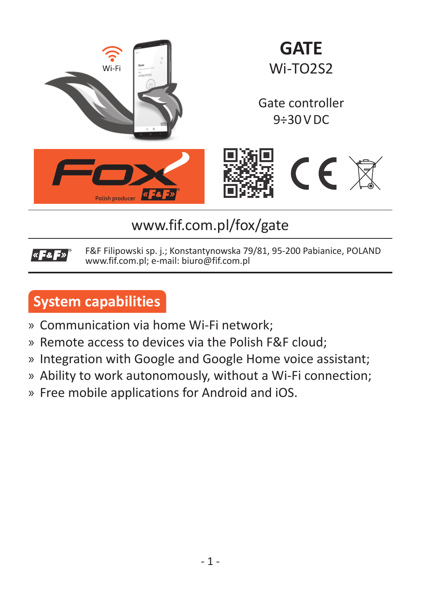

# www.fif.com.pl/fox/gate

F&F Filipowski sp. j.; Konstantynowska 79/81, 95-200 Pabianice, POLAND  $\alpha$  Fe F  $\alpha$ www.fif.com.pl; e-mail: biuro@fif.com.pl

# **System capabilities**

- » Communication via home Wi-Fi network;
- » Remote access to devices via the Polish F&F cloud;
- » Integration with Google and Google Home voice assistant;
- » Ability to work autonomously, without a Wi-Fi connection;
- » Free mobile applications for Android and iOS.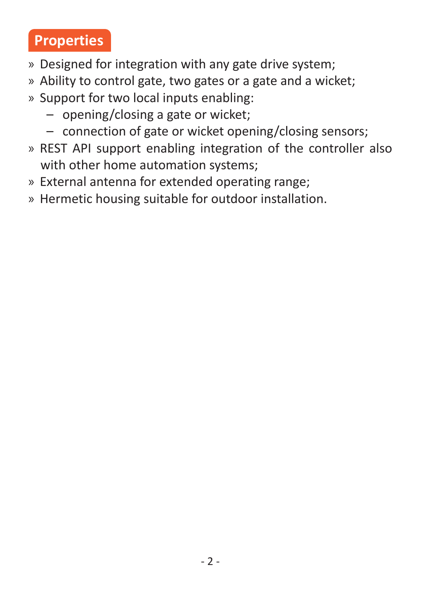# **Properties**

- » Designed for integration with any gate drive system;
- » Ability to control gate, two gates or a gate and a wicket;
- » Support for two local inputs enabling:
	- opening/closing a gate or wicket;
	- connection of gate or wicket opening/closing sensors;
- » REST API support enabling integration of the controller also with other home automation systems:
- » External antenna for extended operating range;
- » Hermetic housing suitable for outdoor installation.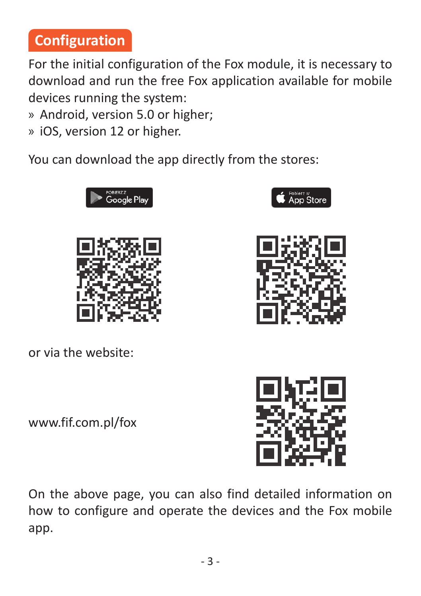# **Configuration**

For the initial configuration of the Fox module, it is necessary to download and run the free Fox application available for mobile devices running the system:

- » Android, version 5.0 or higher;
- » iOS, version 12 or higher.

You can download the ann directly from the stores:

or via the website:

www.fif.com.pl/fox

On the above page, you can also find detailed information on how to configure and operate the devices and the Fox mobile app.

- 3 -





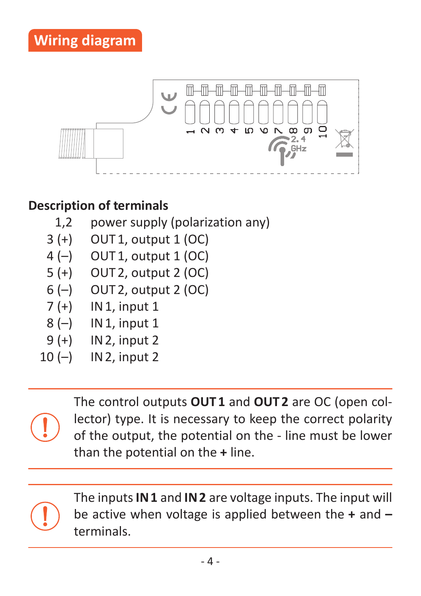

#### **Description of terminals**

- 1,2 power supply (polarization any)
- $3 (+)$  OUT1, output 1 (OC)
- 4 (–) OUT1, output 1 (OC)
- 5 (+) OUT2, output 2 (OC)
- 6 (–) OUT2, output 2 (OC)
- 7 (+) IN1, input 1
- 8 (-) IN 1, input 1
- 9 (+) IN2, input 2
- 10  $(-)$  IN 2, input 2



The inputs **IN 1** and **IN 2** are voltage inputs. The input will be active when voltage is applied between the **+** and **–** terminals.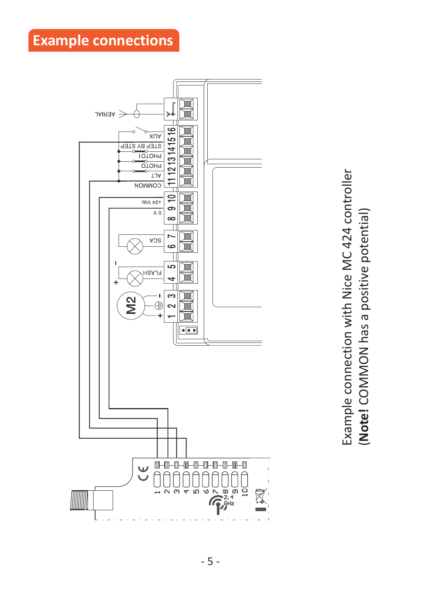**Example connections**



Example connection with Nice MC 424 controller Example connection with Nice MC 424 controller (Note! COMMON has a positive potential) (**Note!** COMMON has a positive potential)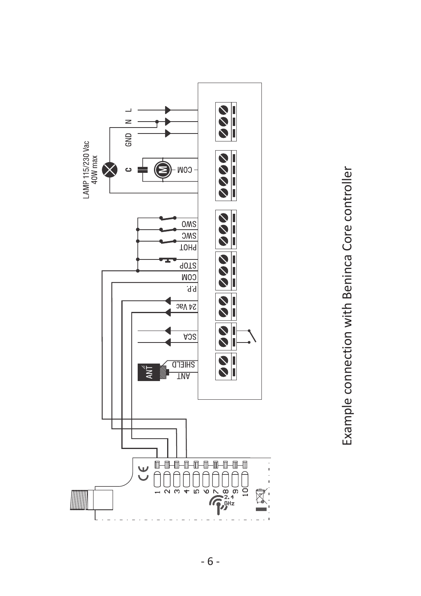

Example connection with Beninca Core controller Example connection with Beninca Core controller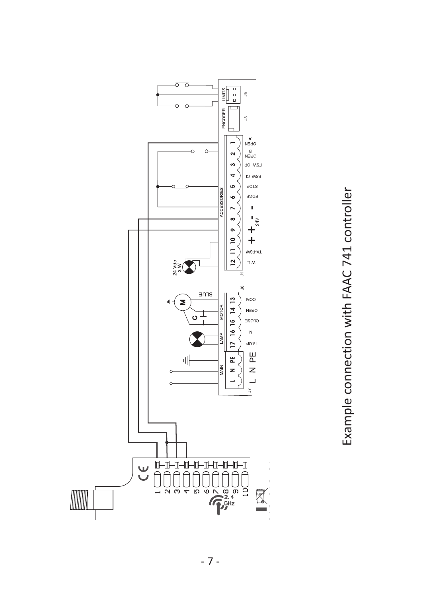

Example connection with FAAC 741 controller Example connection with FAAC 741 controller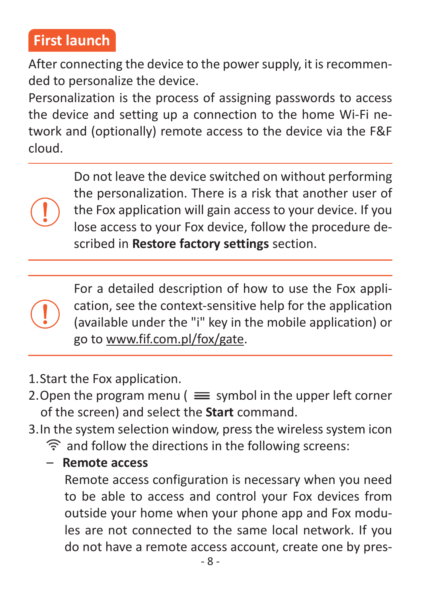## **First launch**

After connecting the device to the power supply, it is recommended to personalize the device.

Personalization is the process of assigning passwords to access the device and setting up a connection to the home Wi-Fi network and (optionally) remote access to the device via the F&F cloud.

> Do not leave the device switched on without performing the personalization. There is a risk that another user of the Fox application will gain access to your device. If you lose access to your Fox device, follow the procedure described in **Restore factory settings** section.

For a detailed description of how to use the Fox application, see the context-sensitive help for the application (available under the "i" key in the mobile application) or go to www.fif.com.pl/fox/gate.

- 1. Start the Fox application.
- 2. Open the program menu  $\ell \equiv$  symbol in the upper left corner of the screen) and select the **Start** command.
- 3. In the system selection window, press the wireless system icon and follow the directions in the following screens:
	- **Remote access**

Remote access configuration is necessary when you need to be able to access and control your Fox devices from outside your home when your phone app and Fox modules are not connected to the same local network. If you do not have a remote access account, create one by pres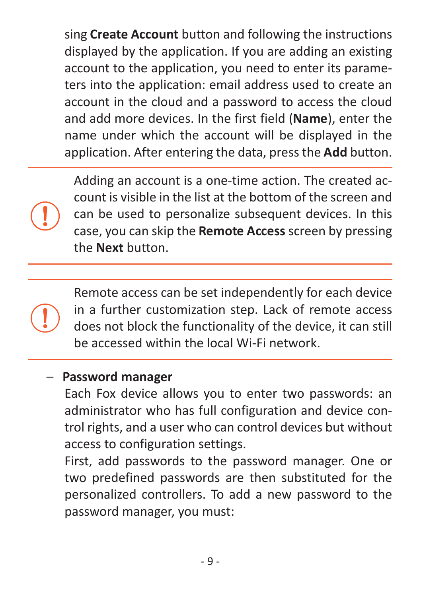sing **Create Account** button and following the instructions displayed by the application. If you are adding an existing account to the application, you need to enter its parameters into the application: email address used to create an account in the cloud and a password to access the cloud and add more devices. In the first field (**Name**), enter the name under which the account will be displayed in the application. After entering the data, press the **Add** button.

Adding an account is a one-time action. The created account is visible in the list at the bottom of the screen and can be used to personalize subsequent devices. In this case, you can skip the **Remote Access** screen by pressing the **Next** button.

Remote access can be set independently for each device in a further customization step. Lack of remote access does not block the functionality of the device, it can still be accessed within the local Wi-Fi network.

#### – **Password manager**

Each Fox device allows you to enter two passwords: an administrator who has full configuration and device control rights, and a user who can control devices but without access to configuration settings.

First, add passwords to the password manager. One or two predefined passwords are then substituted for the personalized controllers. To add a new password to the password manager, you must: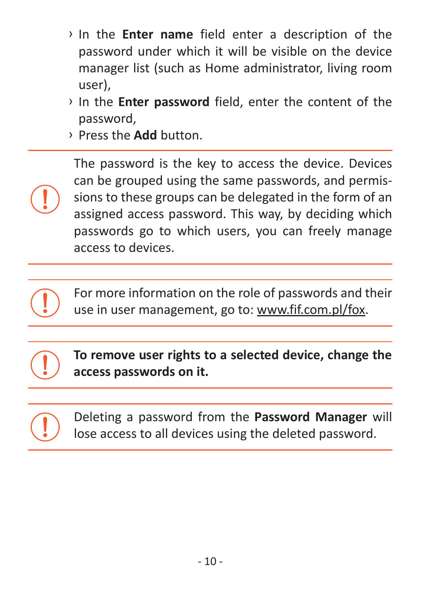- › In the **Enter name** field enter a description of the password under which it will be visible on the device manager list (such as Home administrator, living room user),
- › In the **Enter password** field, enter the content of the password,
- › Press the **Add** button.

The password is the key to access the device. Devices can be grouped using the same passwords, and permissions to these groups can be delegated in the form of an assigned access password. This way, by deciding which passwords go to which users, you can freely manage access to devices.

For more information on the role of passwords and their use in user management, go to: www.fif.com.pl/fox.

**To remove user rights to a selected device, change the access passwords on it.**

Deleting a password from the **Password Manager** will lose access to all devices using the deleted password.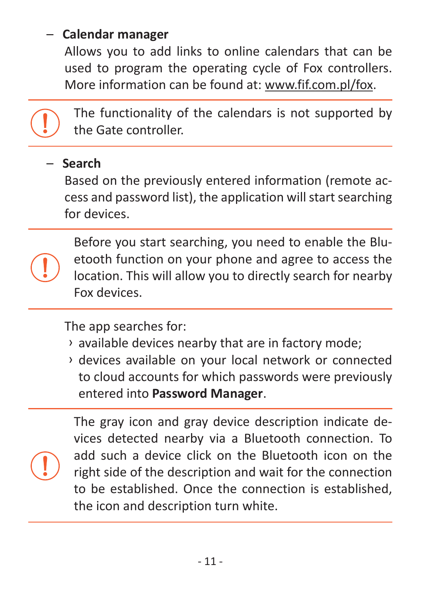#### – **Calendar manager**

Allows you to add links to online calendars that can be used to program the operating cycle of Fox controllers. More information can be found at: www.fif.com.pl/fox.



The functionality of the calendars is not supported by the Gate controller.

#### – **Search**

Based on the previously entered information (remote access and password list), the application will start searching for devices.

Before you start searching, you need to enable the Bluetooth function on your phone and agree to access the location. This will allow you to directly search for nearby Fox devices.

The ann searches for:

- › available devices nearby that are in factory mode;
- › devices available on your local network or connected to cloud accounts for which passwords were previously entered into **Password Manager**.

The gray icon and gray device description indicate devices detected nearby via a Bluetooth connection. To add such a device click on the Bluetooth icon on the right side of the description and wait for the connection to be established. Once the connection is established, the icon and description turn white.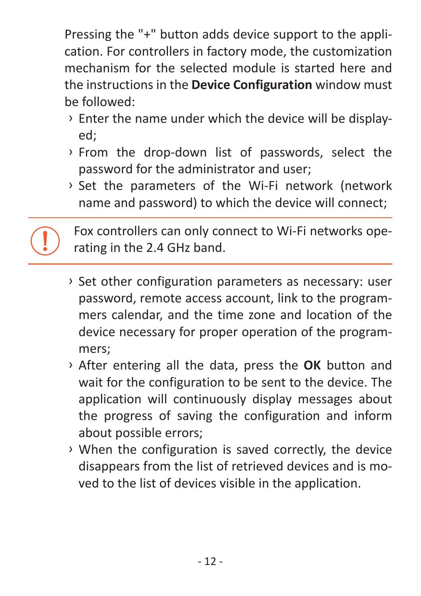Pressing the "+" button adds device support to the application. For controllers in factory mode, the customization mechanism for the selected module is started here and the instructions in the **Device Configuration** window must be followed:

- › Enter the name under which the device will be displayed;
- › From the drop-down list of passwords, select the password for the administrator and user;
- › Set the parameters of the Wi-Fi network (network name and password) to which the device will connect;

Fox controllers can only connect to Wi-Fi networks operating in the 2.4 GHz band.

- › Set other configuration parameters as necessary: user password, remote access account, link to the programmers calendar, and the time zone and location of the device necessary for proper operation of the programmers;
- › After entering all the data, press the **OK** button and wait for the configuration to be sent to the device. The application will continuously display messages about the progress of saving the configuration and inform about possible errors;
- › When the configuration is saved correctly, the device disappears from the list of retrieved devices and is moved to the list of devices visible in the application.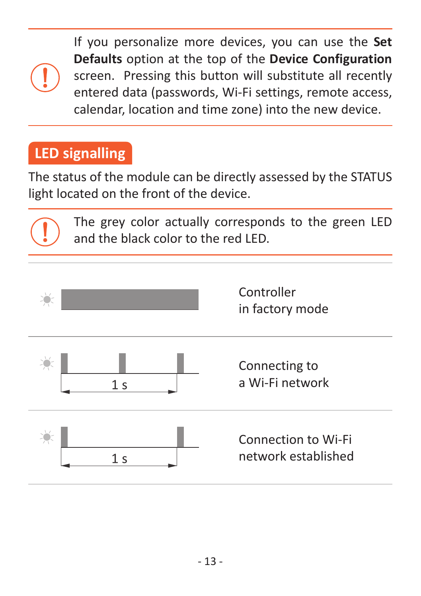If you personalize more devices, you can use the **Set Defaults** option at the top of the **Device Configuration** screen. Pressing this button will substitute all recently entered data (passwords, Wi-Fi settings, remote access, calendar, location and time zone) into the new device.

## **LED signalling**

The status of the module can be directly assessed by the STATUS light located on the front of the device.

The grey color actually corresponds to the green LED and the black color to the red LED.

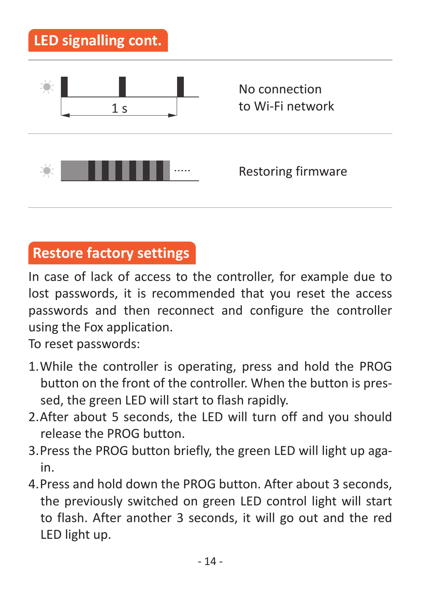

## **Restore factory settings**

In case of lack of access to the controller, for example due to lost passwords, it is recommended that you reset the access passwords and then reconnect and configure the controller using the Fox application.

To reset passwords:

- 1. While the controller is operating, press and hold the PROG button on the front of the controller. When the button is pressed, the green LED will start to flash rapidly.
- 2. After about 5 seconds, the LED will turn off and you should release the PROG button.
- 3. Press the PROG button briefly, the green LED will light up again.
- 4. Press and hold down the PROG button. After about 3 seconds, the previously switched on green LED control light will start to flash. After another 3 seconds, it will go out and the red LED light up.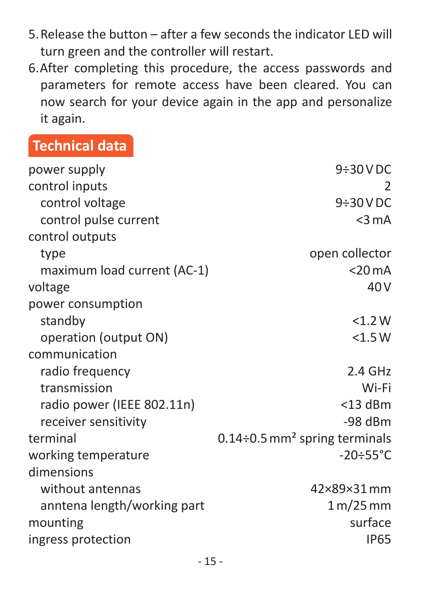- 5. Release the button after a few seconds the indicator LED will turn green and the controller will restart.
- 6. After completing this procedure, the access passwords and parameters for remote access have been cleared. You can now search for your device again in the app and personalize it again.

## **Technical data**

| power supply                | $9\div30$ V DC                                   |
|-----------------------------|--------------------------------------------------|
| control inputs              | 2                                                |
| control voltage             | $9\div30$ V DC                                   |
| control pulse current       | $<$ 3 mA                                         |
| control outputs             |                                                  |
| type                        | open collector                                   |
| maximum load current (AC-1) | $<$ 20 mA                                        |
| voltage                     | 40 <sub>V</sub>                                  |
| power consumption           |                                                  |
| standby                     | <1.2 W                                           |
| operation (output ON)       | $<$ 1.5 W                                        |
| communication               |                                                  |
| radio frequency             | 2.4 GHz                                          |
| transmission                | Wi-Fi                                            |
| radio power (IEEE 802.11n)  | $<$ 13 dBm                                       |
| receiver sensitivity        | $-98$ dBm                                        |
| terminal                    | $0.14 \div 0.5$ mm <sup>2</sup> spring terminals |
| working temperature         | $-20 \div 55^{\circ}$ C                          |
| dimensions                  |                                                  |
| without antennas            | 42×89×31mm                                       |
| anntena length/working part | 1 m/25 mm                                        |
| mounting                    | surface                                          |
| ingress protection          | <b>IP65</b>                                      |